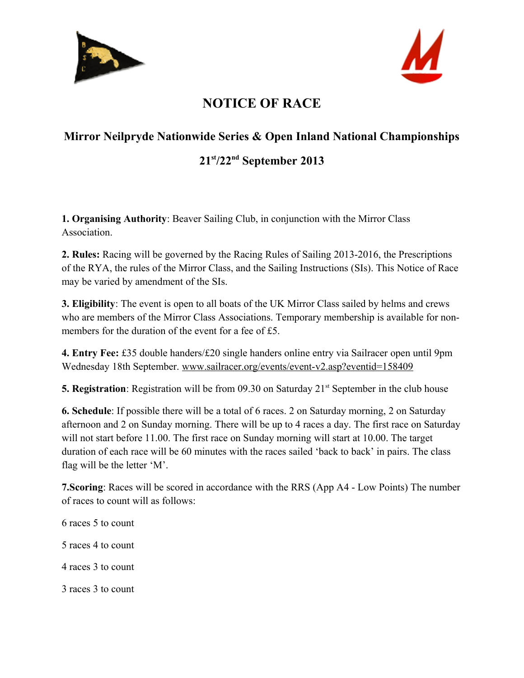



## **NOTICE OF RACE**

## **Mirror Neilpryde Nationwide Series & Open Inland National Championships**

## **21st/22nd September 2013**

**1. Organising Authority**: Beaver Sailing Club, in conjunction with the Mirror Class **Association** 

**2. Rules:** Racing will be governed by the Racing Rules of Sailing 2013-2016, the Prescriptions of the RYA, the rules of the Mirror Class, and the Sailing Instructions (SIs). This Notice of Race may be varied by amendment of the SIs.

**3. Eligibility**: The event is open to all boats of the UK Mirror Class sailed by helms and crews who are members of the Mirror Class Associations. Temporary membership is available for nonmembers for the duration of the event for a fee of £5.

**4. Entry Fee:** £35 double handers/£20 single handers online entry via Sailracer open until 9pm Wednesday 18th September. [www.sailracer.org/events/event-v2.asp?eventid=158409](http://www.sailracer.org/events/event-v2.asp?eventid=158409)

**5. Registration**: Registration will be from 09.30 on Saturday 21<sup>st</sup> September in the club house

**6. Schedule**: If possible there will be a total of 6 races. 2 on Saturday morning, 2 on Saturday afternoon and 2 on Sunday morning. There will be up to 4 races a day. The first race on Saturday will not start before 11.00. The first race on Sunday morning will start at 10.00. The target duration of each race will be 60 minutes with the races sailed 'back to back' in pairs. The class flag will be the letter 'M'.

**7.Scoring**: Races will be scored in accordance with the RRS (App A4 - Low Points) The number of races to count will as follows:

6 races 5 to count 5 races 4 to count 4 races 3 to count 3 races 3 to count